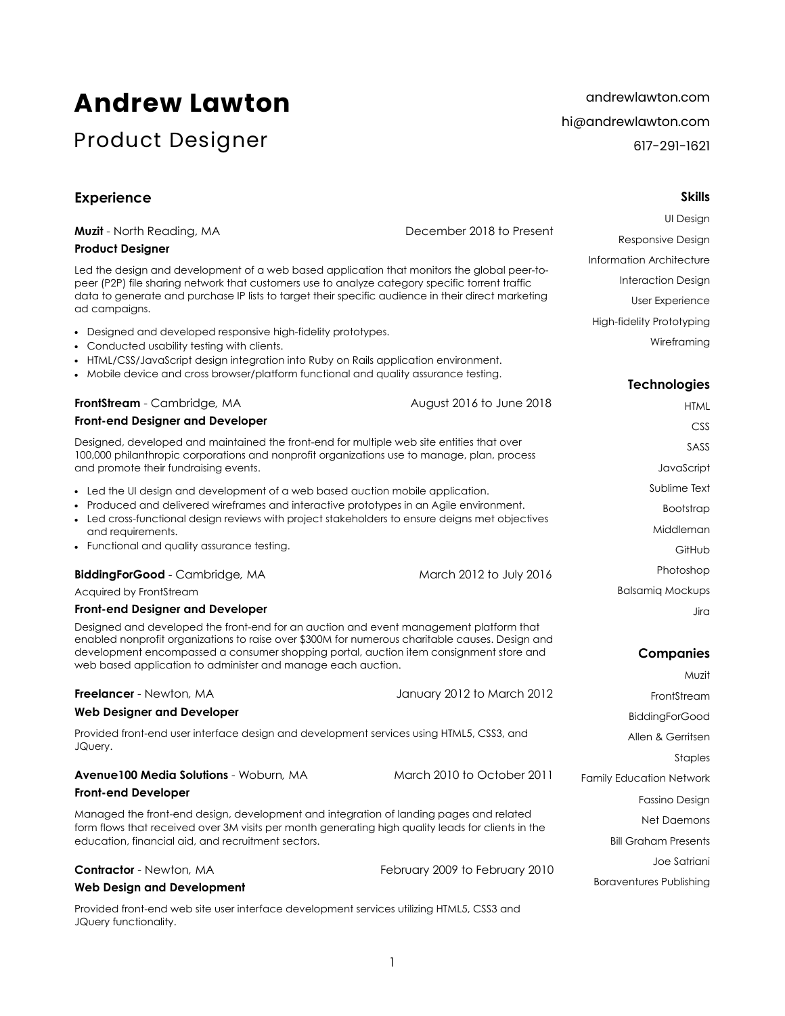# **Andrew Lawton**

# Product Designer

andrewlawton.com hi@andrewlawton.com 617-291-1621

**Skills** 

# **Experience**

|                                                                                                                                                                                                                                                                                     |                                | UI Design                        |  |
|-------------------------------------------------------------------------------------------------------------------------------------------------------------------------------------------------------------------------------------------------------------------------------------|--------------------------------|----------------------------------|--|
| Muzit - North Reading, MA                                                                                                                                                                                                                                                           | December 2018 to Present       | Responsive Design                |  |
| <b>Product Designer</b>                                                                                                                                                                                                                                                             |                                | Information Architecture         |  |
| Led the design and development of a web based application that monitors the global peer-to-<br>peer (P2P) file sharing network that customers use to analyze category specific torrent traffic                                                                                      |                                | Interaction Design               |  |
| data to generate and purchase IP lists to target their specific audience in their direct marketing<br>ad campaigns.                                                                                                                                                                 |                                | User Experience                  |  |
|                                                                                                                                                                                                                                                                                     |                                | <b>High-fidelity Prototyping</b> |  |
| • Designed and developed responsive high-fidelity prototypes.<br>• Conducted usability testing with clients.                                                                                                                                                                        |                                | Wireframing                      |  |
| • HTML/CSS/JavaScript design integration into Ruby on Rails application environment.                                                                                                                                                                                                |                                |                                  |  |
| • Mobile device and cross browser/platform functional and quality assurance testing.                                                                                                                                                                                                |                                | <b>Technologies</b>              |  |
| FrontStream - Cambridge, MA                                                                                                                                                                                                                                                         | August 2016 to June 2018       | <b>HTML</b>                      |  |
| <b>Front-end Designer and Developer</b>                                                                                                                                                                                                                                             |                                | <b>CSS</b>                       |  |
| Designed, developed and maintained the front-end for multiple web site entities that over                                                                                                                                                                                           |                                | SASS                             |  |
| 100,000 philanthropic corporations and nonprofit organizations use to manage, plan, process<br>and promote their fundraising events.                                                                                                                                                |                                | JavaScript                       |  |
| • Led the UI design and development of a web based auction mobile application.                                                                                                                                                                                                      |                                | Sublime Text                     |  |
| • Produced and delivered wireframes and interactive prototypes in an Agile environment.                                                                                                                                                                                             | Bootstrap                      |                                  |  |
| • Led cross-functional design reviews with project stakeholders to ensure deigns met objectives<br>and requirements.                                                                                                                                                                | Middleman                      |                                  |  |
| • Functional and quality assurance testing.                                                                                                                                                                                                                                         |                                | GitHub                           |  |
| <b>BiddingForGood</b> - Cambridge, MA                                                                                                                                                                                                                                               | March 2012 to July 2016        | Photoshop                        |  |
| Acquired by FrontStream                                                                                                                                                                                                                                                             |                                | <b>Balsamiq Mockups</b>          |  |
| <b>Front-end Designer and Developer</b>                                                                                                                                                                                                                                             |                                | Jira                             |  |
| Designed and developed the front-end for an auction and event management platform that<br>enabled nonprofit organizations to raise over \$300M for numerous charitable causes. Design and<br>development encompassed a consumer shopping portal, auction item consignment store and |                                | <b>Companies</b>                 |  |
| web based application to administer and manage each auction.                                                                                                                                                                                                                        |                                | Muzit                            |  |
| <b>Freelancer</b> - Newton, MA                                                                                                                                                                                                                                                      | January 2012 to March 2012     | FrontStream                      |  |
| <b>Web Designer and Developer</b>                                                                                                                                                                                                                                                   |                                | <b>BiddingForGood</b>            |  |
| Provided front-end user interface design and development services using HTML5, CSS3, and                                                                                                                                                                                            |                                | Allen & Gerritsen                |  |
| JQuery.                                                                                                                                                                                                                                                                             |                                | Staples                          |  |
| Avenue100 Media Solutions - Woburn, MA                                                                                                                                                                                                                                              | March 2010 to October 2011     | <b>Family Education Network</b>  |  |
| <b>Front-end Developer</b>                                                                                                                                                                                                                                                          |                                | Fassino Design                   |  |
| Managed the front-end design, development and integration of landing pages and related                                                                                                                                                                                              |                                | Net Daemons                      |  |
| form flows that received over 3M visits per month generating high quality leads for clients in the<br>education, financial aid, and recruitment sectors.                                                                                                                            |                                | <b>Bill Graham Presents</b>      |  |
|                                                                                                                                                                                                                                                                                     |                                | Joe Satriani                     |  |
| <b>Contractor</b> - Newton, MA                                                                                                                                                                                                                                                      | February 2009 to February 2010 | <b>Boraventures Publishing</b>   |  |
| <b>Web Design and Development</b>                                                                                                                                                                                                                                                   |                                |                                  |  |

Provided front-end web site user interface development services utilizing HTML5, CSS3 and JQuery functionality.

1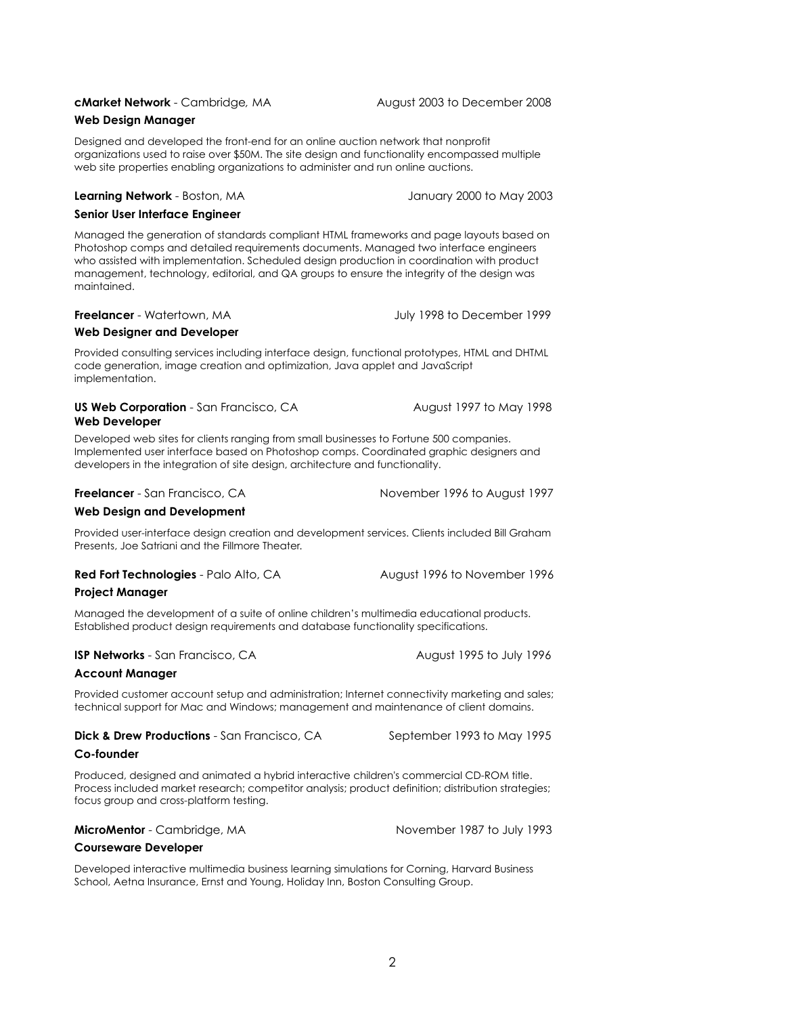# **cMarket Network** - Cambridge*,* MAAugust 2003 to December 2008

# **Web Design Manager**

Designed and developed the front-end for an online auction network that nonprofit organizations used to raise over \$50M. The site design and functionality encompassed multiple web site properties enabling organizations to administer and run online auctions.

### **Learning Network** - Boston, MA January 2000 to May 2003

### **Senior User Interface Engineer**

Managed the generation of standards compliant HTML frameworks and page layouts based on Photoshop comps and detailed requirements documents. Managed two interface engineers who assisted with implementation. Scheduled design production in coordination with product management, technology, editorial, and QA groups to ensure the integrity of the design was maintained.

# **Freelancer** - Watertown, MA **Structure 1999** July 1998 to December 1999

### **Web Designer and Developer**

Provided consulting services including interface design, functional prototypes, HTML and DHTML code generation, image creation and optimization, Java applet and JavaScript implementation.

# **US Web Corporation** - San Francisco, CA August 1997 to May 1998 **Web Developer**

Developed web sites for clients ranging from small businesses to Fortune 500 companies. Implemented user interface based on Photoshop comps. Coordinated graphic designers and developers in the integration of site design, architecture and functionality.

**Freelancer** - San Francisco, CA November 1996 to August 1997

# **Web Design and Development**

Provided user-interface design creation and development services. Clients included Bill Graham Presents, Joe Satriani and the Fillmore Theater.

**Red Fort Technologies** - Palo Alto, CA August 1996 to November 1996

# **Project Manager**

Managed the development of a suite of online children's multimedia educational products. Established product design requirements and database functionality specifications.

# **ISP Networks** - San Francisco, CA August 1995 to July 1996

# **Account Manager**

Provided customer account setup and administration; Internet connectivity marketing and sales; technical support for Mac and Windows; management and maintenance of client domains.

|  |  |  | <b>Dick &amp; Drew Productions</b> - San Francisco, CA |  |
|--|--|--|--------------------------------------------------------|--|
|--|--|--|--------------------------------------------------------|--|

September 1993 to May 1995

# **Co-founder**

Produced, designed and animated a hybrid interactive children's commercial CD-ROM title. Process included market research; competitor analysis; product definition; distribution strategies; focus group and cross-platform testing.

**MicroMentor** - Cambridge, MA November 1987 to July 1993

# **Courseware Developer**

Developed interactive multimedia business learning simulations for Corning, Harvard Business School, Aetna Insurance, Ernst and Young, Holiday Inn, Boston Consulting Group.